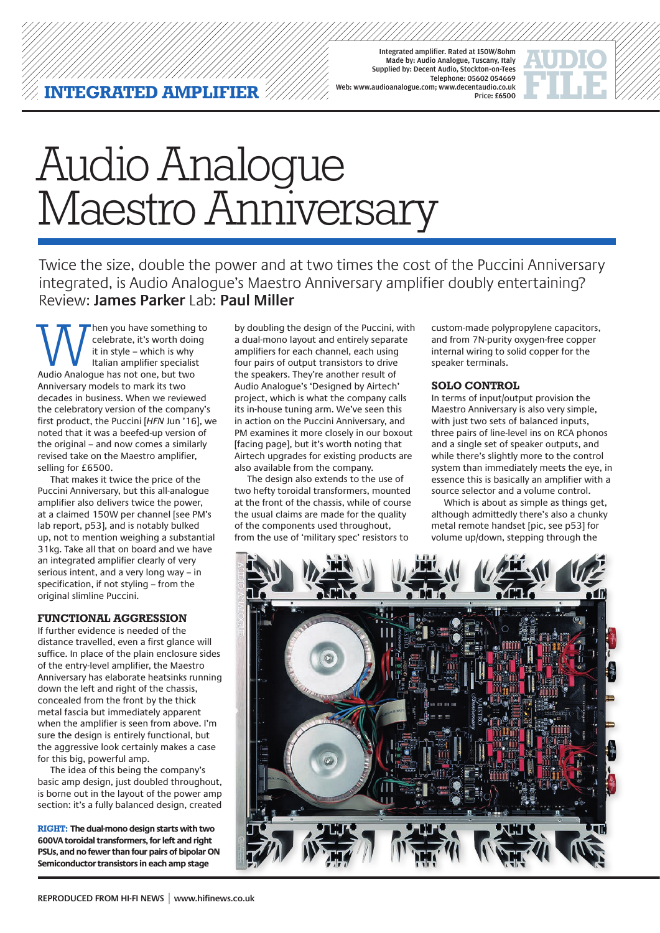Integrated amplifier. Rated at 150W/8ohm Made by: Audio Analogue, Tuscany, Italy Supplied by: Decent Audio, Stockton-on-Tees Telephone: 05602 054669 Web: www.audioanalogue.com; www.decentaudio.co.uk Price: £6500



# Audio Analogue Maestro Anniversary

Twice the size, double the power and at two times the cost of the Puccini Anniversary integrated, is Audio Analogue's Maestro Anniversary amplifier doubly entertaining? Review: **James Parker** Lab: **Paul Miller**

When you have something to<br>
celebrate, it's worth doing<br>
it in style – which is why<br>
Italian amplifier specialist<br>
Audio Analogue has not one, but two celebrate, it's worth doing it in style – which is why Italian amplifier specialist Anniversary models to mark its two decades in business. When we reviewed the celebratory version of the company's first product, the Puccini [*HFN* Jun '16], we noted that it was a beefed-up version of the original – and now comes a similarly revised take on the Maestro amplifier, selling for £6500.

That makes it twice the price of the Puccini Anniversary, but this all-analogue amplifier also delivers twice the power, at a claimed 150W per channel [see PM's lab report, p53], and is notably bulked up, not to mention weighing a substantial 31kg. Take all that on board and we have an integrated amplifier clearly of very serious intent, and a very long way – in specification, if not styling – from the original slimline Puccini.

#### **FUNCTIONAl AGGRESSION**

If further evidence is needed of the distance travelled, even a first glance will suffice. In place of the plain enclosure sides of the entry-level amplifier, the Maestro Anniversary has elaborate heatsinks running down the left and right of the chassis, concealed from the front by the thick metal fascia but immediately apparent when the amplifier is seen from above. I'm sure the design is entirely functional, but the aggressive look certainly makes a case for this big, powerful amp.

The idea of this being the company's basic amp design, just doubled throughout, is borne out in the layout of the power amp section: it's a fully balanced design, created

**RIGHT: The dual-mono design starts with two 600VA toroidal transformers, for left and right PSUs, and no fewer than four pairs of bipolar ON Semiconductor transistors in each amp stage**

by doubling the design of the Puccini, with a dual-mono layout and entirely separate amplifiers for each channel, each using four pairs of output transistors to drive the speakers. They're another result of Audio Analogue's 'Designed by Airtech' project, which is what the company calls its in-house tuning arm. We've seen this in action on the Puccini Anniversary, and PM examines it more closely in our boxout [facing page], but it's worth noting that Airtech upgrades for existing products are also available from the company.

The design also extends to the use of two hefty toroidal transformers, mounted at the front of the chassis, while of course the usual claims are made for the quality of the components used throughout, from the use of 'military spec' resistors to

custom-made polypropylene capacitors, and from 7N-purity oxygen-free copper internal wiring to solid copper for the speaker terminals.

#### **SOLO CONTROL**

In terms of input/output provision the Maestro Anniversary is also very simple, with just two sets of balanced inputs, three pairs of line-level ins on RCA phonos and a single set of speaker outputs, and while there's slightly more to the control system than immediately meets the eye, in essence this is basically an amplifier with a source selector and a volume control.

Which is about as simple as things get, although admittedly there's also a chunky metal remote handset [pic, see p53] for volume up/down, stepping through the

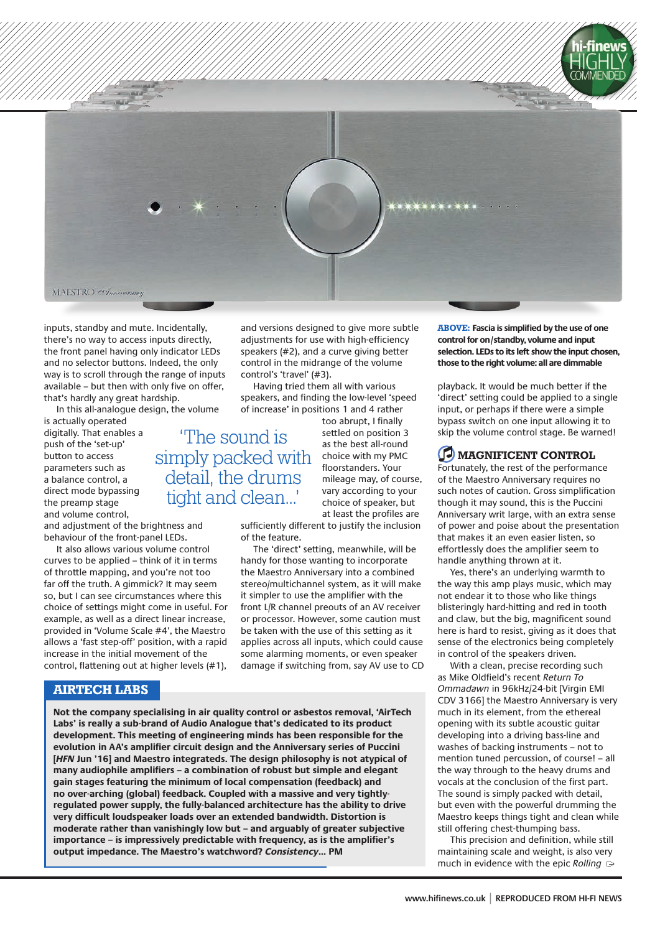

inputs, standby and mute. Incidentally, there's no way to access inputs directly, the front panel having only indicator LEDs and no selector buttons. Indeed, the only way is to scroll through the range of inputs available – but then with only five on offer, that's hardly any great hardship.

In this all-analogue design, the volume

is actually operated digitally. That enables a push of the 'set-up' button to access parameters such as a balance control, a direct mode bypassing the preamp stage and volume control,

and adjustment of the brightness and behaviour of the front-panel LEDs.

It also allows various volume control curves to be applied – think of it in terms of throttle mapping, and you're not too far off the truth. A gimmick? It may seem so, but I can see circumstances where this choice of settings might come in useful. For example, as well as a direct linear increase, provided in 'Volume Scale #4', the Maestro allows a 'fast step-off' position, with a rapid increase in the initial movement of the control, flattening out at higher levels (#1),

#### **AIRTECH LABS**

and versions designed to give more subtle adjustments for use with high-efficiency speakers (#2), and a curve giving better control in the midrange of the volume control's 'travel' (#3).

Having tried them all with various speakers, and finding the low-level 'speed of increase' in positions 1 and 4 rather too abrupt, I finally

'The sound is simply packed with detail, the drums tight and clean...'

settled on position 3 as the best all-round choice with my PMC floorstanders. Your mileage may, of course, vary according to your choice of speaker, but at least the profiles are

sufficiently different to justify the inclusion of the feature.

The 'direct' setting, meanwhile, will be handy for those wanting to incorporate the Maestro Anniversary into a combined stereo/multichannel system, as it will make it simpler to use the amplifier with the front L/R channel preouts of an AV receiver or processor. However, some caution must be taken with the use of this setting as it applies across all inputs, which could cause some alarming moments, or even speaker damage if switching from, say AV use to CD

**Not the company specialising in air quality control or asbestos removal, 'AirTech Labs' is really a sub-brand of Audio Analogue that's dedicated to its product development. This meeting of engineering minds has been responsible for the evolution in AA's amplifier circuit design and the Anniversary series of Puccini [***HFN* **Jun '16] and Maestro integrateds. The design philosophy is not atypical of many audiophile amplifiers – a combination of robust but simple and elegant gain stages featuring the minimum of local compensation (feedback) and no over-arching (global) feedback. Coupled with a massive and very tightlyregulated power supply, the fully-balanced architecture has the ability to drive very difficult loudspeaker loads over an extended bandwidth. Distortion is moderate rather than vanishingly low but – and arguably of greater subjective importance – is impressively predictable with frequency, as is the amplifier's output impedance. The Maestro's watchword?** *Consistency***... PM**

**ABOVE: Fascia is simplified by the use of one control for on/standby, volume and input selection. LEDs to its left show the input chosen, those to the right volume: all are dimmable**

playback. It would be much better if the 'direct' setting could be applied to a single input, or perhaps if there were a simple bypass switch on one input allowing it to skip the volume control stage. Be warned!

## **D** MAGNIFICENT CONTROL

Fortunately, the rest of the performance of the Maestro Anniversary requires no such notes of caution. Gross simplification though it may sound, this is the Puccini Anniversary writ large, with an extra sense of power and poise about the presentation that makes it an even easier listen, so effortlessly does the amplifier seem to handle anything thrown at it.

Yes, there's an underlying warmth to the way this amp plays music, which may not endear it to those who like things blisteringly hard-hitting and red in tooth and claw, but the big, magnificent sound here is hard to resist, giving as it does that sense of the electronics being completely in control of the speakers driven.

With a clean, precise recording such as Mike Oldfield's recent *Return To Ommadawn* in 96kHz/24-bit [Virgin EMI CDV 3166] the Maestro Anniversary is very much in its element, from the ethereal opening with its subtle acoustic guitar developing into a driving bass-line and washes of backing instruments – not to mention tuned percussion, of course! – all the way through to the heavy drums and vocals at the conclusion of the first part. The sound is simply packed with detail, but even with the powerful drumming the Maestro keeps things tight and clean while still offering chest-thumping bass.

This precision and definition, while still maintaining scale and weight, is also very much in evidence with the epic *Rolling*